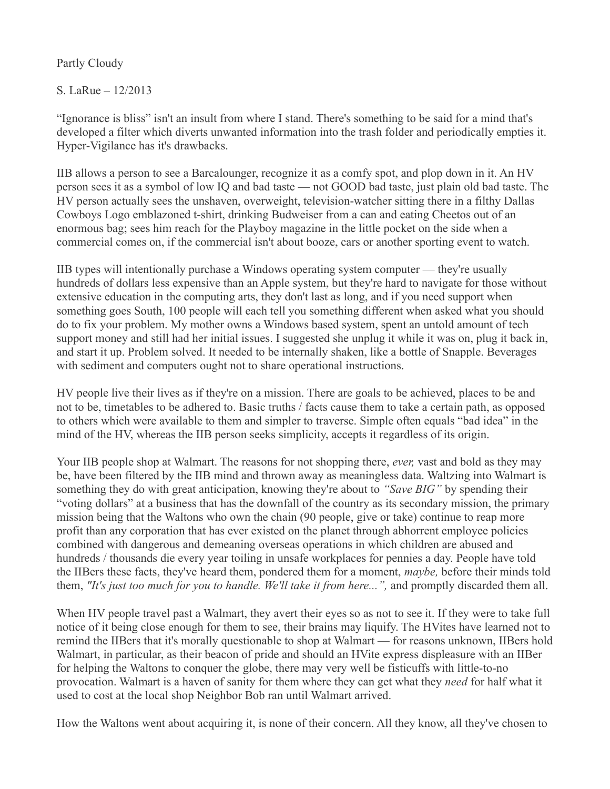## Partly Cloudy

## S. LaRue – 12/2013

"Ignorance is bliss" isn't an insult from where I stand. There's something to be said for a mind that's developed a filter which diverts unwanted information into the trash folder and periodically empties it. Hyper-Vigilance has it's drawbacks.

IIB allows a person to see a Barcalounger, recognize it as a comfy spot, and plop down in it. An HV person sees it as a symbol of low IQ and bad taste — not GOOD bad taste, just plain old bad taste. The HV person actually sees the unshaven, overweight, television-watcher sitting there in a filthy Dallas Cowboys Logo emblazoned t-shirt, drinking Budweiser from a can and eating Cheetos out of an enormous bag; sees him reach for the Playboy magazine in the little pocket on the side when a commercial comes on, if the commercial isn't about booze, cars or another sporting event to watch.

IIB types will intentionally purchase a Windows operating system computer — they're usually hundreds of dollars less expensive than an Apple system, but they're hard to navigate for those without extensive education in the computing arts, they don't last as long, and if you need support when something goes South, 100 people will each tell you something different when asked what you should do to fix your problem. My mother owns a Windows based system, spent an untold amount of tech support money and still had her initial issues. I suggested she unplug it while it was on, plug it back in, and start it up. Problem solved. It needed to be internally shaken, like a bottle of Snapple. Beverages with sediment and computers ought not to share operational instructions.

HV people live their lives as if they're on a mission. There are goals to be achieved, places to be and not to be, timetables to be adhered to. Basic truths / facts cause them to take a certain path, as opposed to others which were available to them and simpler to traverse. Simple often equals "bad idea" in the mind of the HV, whereas the IIB person seeks simplicity, accepts it regardless of its origin.

Your IIB people shop at Walmart. The reasons for not shopping there, *ever,* vast and bold as they may be, have been filtered by the IIB mind and thrown away as meaningless data. Waltzing into Walmart is something they do with great anticipation, knowing they're about to *"Save BIG"* by spending their "voting dollars" at a business that has the downfall of the country as its secondary mission, the primary mission being that the Waltons who own the chain (90 people, give or take) continue to reap more profit than any corporation that has ever existed on the planet through abhorrent employee policies combined with dangerous and demeaning overseas operations in which children are abused and hundreds / thousands die every year toiling in unsafe workplaces for pennies a day. People have told the IIBers these facts, they've heard them, pondered them for a moment, *maybe,* before their minds told them, *"It's just too much for you to handle. We'll take it from here...",* and promptly discarded them all.

When HV people travel past a Walmart, they avert their eyes so as not to see it. If they were to take full notice of it being close enough for them to see, their brains may liquify. The HVites have learned not to remind the IIBers that it's morally questionable to shop at Walmart — for reasons unknown, IIBers hold Walmart, in particular, as their beacon of pride and should an HVite express displeasure with an IIBer for helping the Waltons to conquer the globe, there may very well be fisticuffs with little-to-no provocation. Walmart is a haven of sanity for them where they can get what they *need* for half what it used to cost at the local shop Neighbor Bob ran until Walmart arrived.

How the Waltons went about acquiring it, is none of their concern. All they know, all they've chosen to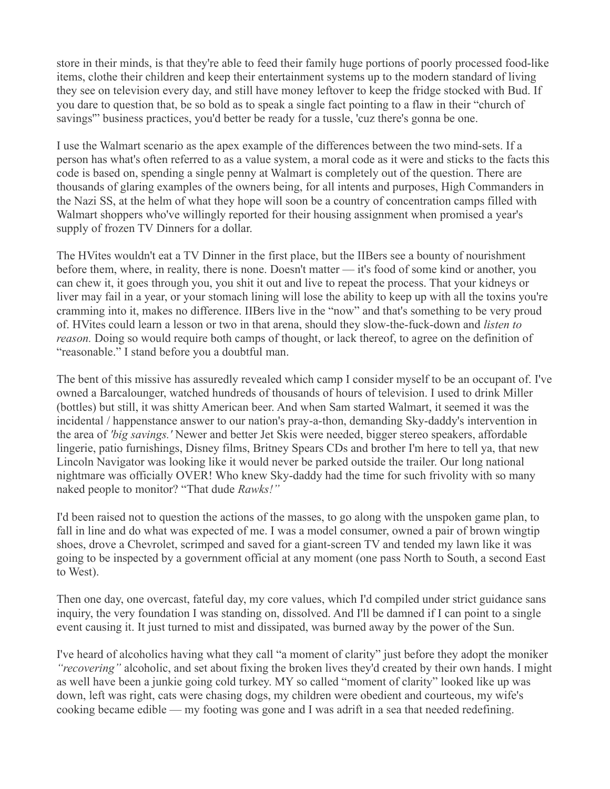store in their minds, is that they're able to feed their family huge portions of poorly processed food-like items, clothe their children and keep their entertainment systems up to the modern standard of living they see on television every day, and still have money leftover to keep the fridge stocked with Bud. If you dare to question that, be so bold as to speak a single fact pointing to a flaw in their "church of savings'" business practices, you'd better be ready for a tussle, 'cuz there's gonna be one.

I use the Walmart scenario as the apex example of the differences between the two mind-sets. If a person has what's often referred to as a value system, a moral code as it were and sticks to the facts this code is based on, spending a single penny at Walmart is completely out of the question. There are thousands of glaring examples of the owners being, for all intents and purposes, High Commanders in the Nazi SS, at the helm of what they hope will soon be a country of concentration camps filled with Walmart shoppers who've willingly reported for their housing assignment when promised a year's supply of frozen TV Dinners for a dollar.

The HVites wouldn't eat a TV Dinner in the first place, but the IIBers see a bounty of nourishment before them, where, in reality, there is none. Doesn't matter — it's food of some kind or another, you can chew it, it goes through you, you shit it out and live to repeat the process. That your kidneys or liver may fail in a year, or your stomach lining will lose the ability to keep up with all the toxins you're cramming into it, makes no difference. IIBers live in the "now" and that's something to be very proud of. HVites could learn a lesson or two in that arena, should they slow-the-fuck-down and *listen to reason.* Doing so would require both camps of thought, or lack thereof, to agree on the definition of "reasonable." I stand before you a doubtful man.

The bent of this missive has assuredly revealed which camp I consider myself to be an occupant of. I've owned a Barcalounger, watched hundreds of thousands of hours of television. I used to drink Miller (bottles) but still, it was shitty American beer. And when Sam started Walmart, it seemed it was the incidental / happenstance answer to our nation's pray-a-thon, demanding Sky-daddy's intervention in the area of *'big savings.'* Newer and better Jet Skis were needed, bigger stereo speakers, affordable lingerie, patio furnishings, Disney films, Britney Spears CDs and brother I'm here to tell ya, that new Lincoln Navigator was looking like it would never be parked outside the trailer. Our long national nightmare was officially OVER! Who knew Sky-daddy had the time for such frivolity with so many naked people to monitor? "That dude *Rawks!"*

I'd been raised not to question the actions of the masses, to go along with the unspoken game plan, to fall in line and do what was expected of me. I was a model consumer, owned a pair of brown wingtip shoes, drove a Chevrolet, scrimped and saved for a giant-screen TV and tended my lawn like it was going to be inspected by a government official at any moment (one pass North to South, a second East to West).

Then one day, one overcast, fateful day, my core values, which I'd compiled under strict guidance sans inquiry, the very foundation I was standing on, dissolved. And I'll be damned if I can point to a single event causing it. It just turned to mist and dissipated, was burned away by the power of the Sun.

I've heard of alcoholics having what they call "a moment of clarity" just before they adopt the moniker *"recovering"* alcoholic, and set about fixing the broken lives they'd created by their own hands. I might as well have been a junkie going cold turkey. MY so called "moment of clarity" looked like up was down, left was right, cats were chasing dogs, my children were obedient and courteous, my wife's cooking became edible — my footing was gone and I was adrift in a sea that needed redefining.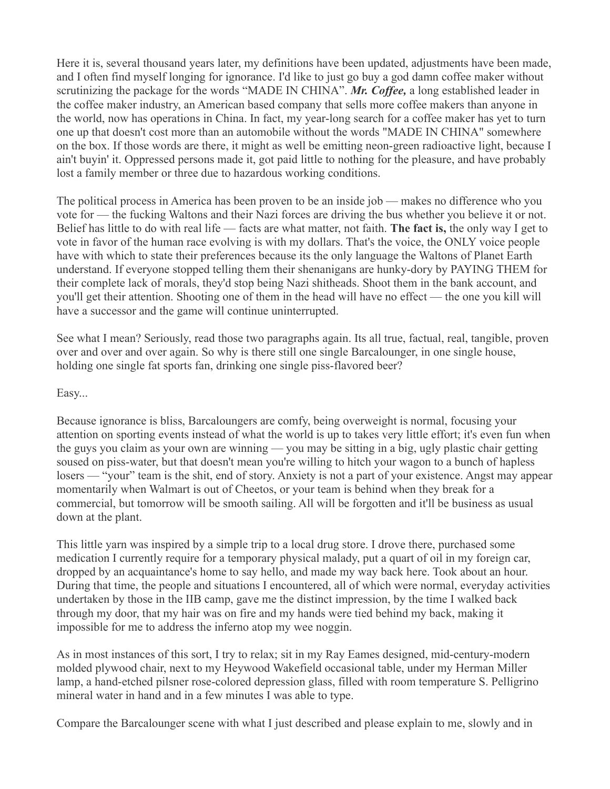Here it is, several thousand years later, my definitions have been updated, adjustments have been made, and I often find myself longing for ignorance. I'd like to just go buy a god damn coffee maker without scrutinizing the package for the words "MADE IN CHINA". *Mr. Coffee,* a long established leader in the coffee maker industry, an American based company that sells more coffee makers than anyone in the world, now has operations in China. In fact, my year-long search for a coffee maker has yet to turn one up that doesn't cost more than an automobile without the words "MADE IN CHINA" somewhere on the box. If those words are there, it might as well be emitting neon-green radioactive light, because I ain't buyin' it. Oppressed persons made it, got paid little to nothing for the pleasure, and have probably lost a family member or three due to hazardous working conditions.

The political process in America has been proven to be an inside job — makes no difference who you vote for — the fucking Waltons and their Nazi forces are driving the bus whether you believe it or not. Belief has little to do with real life — facts are what matter, not faith. **The fact is,** the only way I get to vote in favor of the human race evolving is with my dollars. That's the voice, the ONLY voice people have with which to state their preferences because its the only language the Waltons of Planet Earth understand. If everyone stopped telling them their shenanigans are hunky-dory by PAYING THEM for their complete lack of morals, they'd stop being Nazi shitheads. Shoot them in the bank account, and you'll get their attention. Shooting one of them in the head will have no effect — the one you kill will have a successor and the game will continue uninterrupted.

See what I mean? Seriously, read those two paragraphs again. Its all true, factual, real, tangible, proven over and over and over again. So why is there still one single Barcalounger, in one single house, holding one single fat sports fan, drinking one single piss-flavored beer?

## Easy...

Because ignorance is bliss, Barcaloungers are comfy, being overweight is normal, focusing your attention on sporting events instead of what the world is up to takes very little effort; it's even fun when the guys you claim as your own are winning — you may be sitting in a big, ugly plastic chair getting soused on piss-water, but that doesn't mean you're willing to hitch your wagon to a bunch of hapless losers — "your" team is the shit, end of story. Anxiety is not a part of your existence. Angst may appear momentarily when Walmart is out of Cheetos, or your team is behind when they break for a commercial, but tomorrow will be smooth sailing. All will be forgotten and it'll be business as usual down at the plant.

This little yarn was inspired by a simple trip to a local drug store. I drove there, purchased some medication I currently require for a temporary physical malady, put a quart of oil in my foreign car, dropped by an acquaintance's home to say hello, and made my way back here. Took about an hour. During that time, the people and situations I encountered, all of which were normal, everyday activities undertaken by those in the IIB camp, gave me the distinct impression, by the time I walked back through my door, that my hair was on fire and my hands were tied behind my back, making it impossible for me to address the inferno atop my wee noggin.

As in most instances of this sort, I try to relax; sit in my Ray Eames designed, mid-century-modern molded plywood chair, next to my Heywood Wakefield occasional table, under my Herman Miller lamp, a hand-etched pilsner rose-colored depression glass, filled with room temperature S. Pelligrino mineral water in hand and in a few minutes I was able to type.

Compare the Barcalounger scene with what I just described and please explain to me, slowly and in